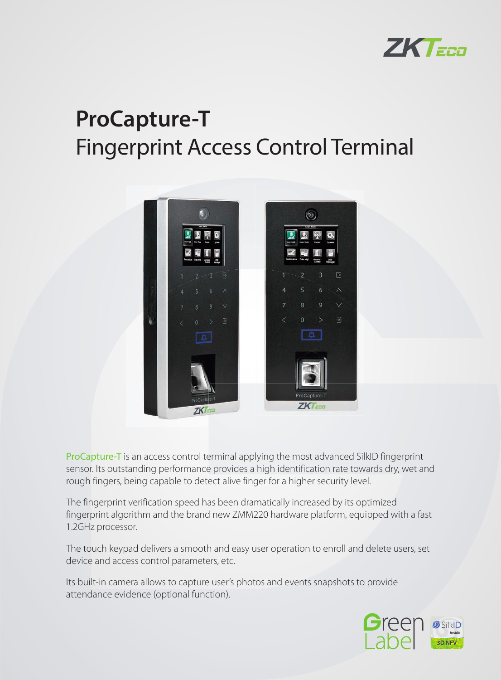

# **ProCapture-T** Fingerprint Access Control Terminal



ProCapture-T is an access control terminal applying the most advanced SilkID fingerprint sensor. Its outstanding performance provides a high identification rate towards dry, wet and rough fingers, being capable to detect alive finger for a higher security level.

The fingerprint verification speed has been dramatically increased by its optimized fingerprint algorithm and the brand new ZMM220 hardware platform, equipped with a fast 1.2GHz processor.

The touch keypad delivers a smooth and easy user operation to enroll and delete users, set device and access control parameters, etc.

Its built-in camera allows to capture user's photos and events snapshots to provide attendance evidence (optional function).